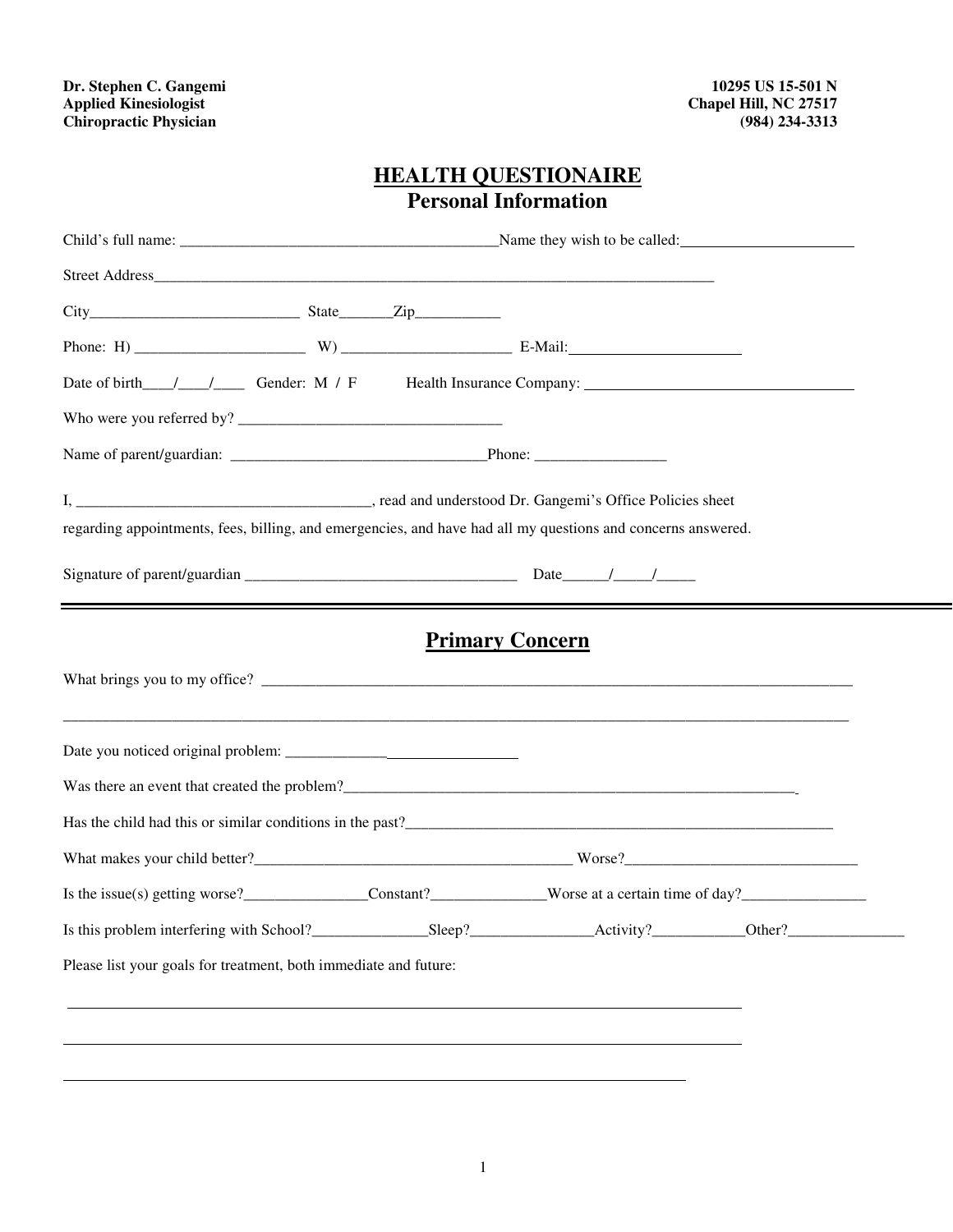## **HEALTH QUESTIONAIRE Personal Information**

| $City$ $City$ $State$ $Zip$                                                                                                            |                        |  |  |
|----------------------------------------------------------------------------------------------------------------------------------------|------------------------|--|--|
|                                                                                                                                        |                        |  |  |
|                                                                                                                                        |                        |  |  |
|                                                                                                                                        |                        |  |  |
|                                                                                                                                        |                        |  |  |
|                                                                                                                                        |                        |  |  |
| regarding appointments, fees, billing, and emergencies, and have had all my questions and concerns answered.                           |                        |  |  |
|                                                                                                                                        |                        |  |  |
|                                                                                                                                        | <b>Primary Concern</b> |  |  |
|                                                                                                                                        |                        |  |  |
| Was there an event that created the problem?<br><u> Letting and the contract of the problem?</u>                                       |                        |  |  |
| Has the child had this or similar conditions in the past?<br><u> Letting and the child had this or similar conditions in the past?</u> |                        |  |  |
|                                                                                                                                        |                        |  |  |
| Is the issue(s) getting worse?<br>Constant?<br>Constant?<br>Constant?<br>Worse at a certain time of day?                               |                        |  |  |
| Is this problem interfering with School?<br>Sleep?<br>Sleep?<br>Activity?<br>Activity?<br>Other?<br>Other?                             |                        |  |  |
| Please list your goals for treatment, both immediate and future:                                                                       |                        |  |  |
|                                                                                                                                        |                        |  |  |
|                                                                                                                                        |                        |  |  |
|                                                                                                                                        |                        |  |  |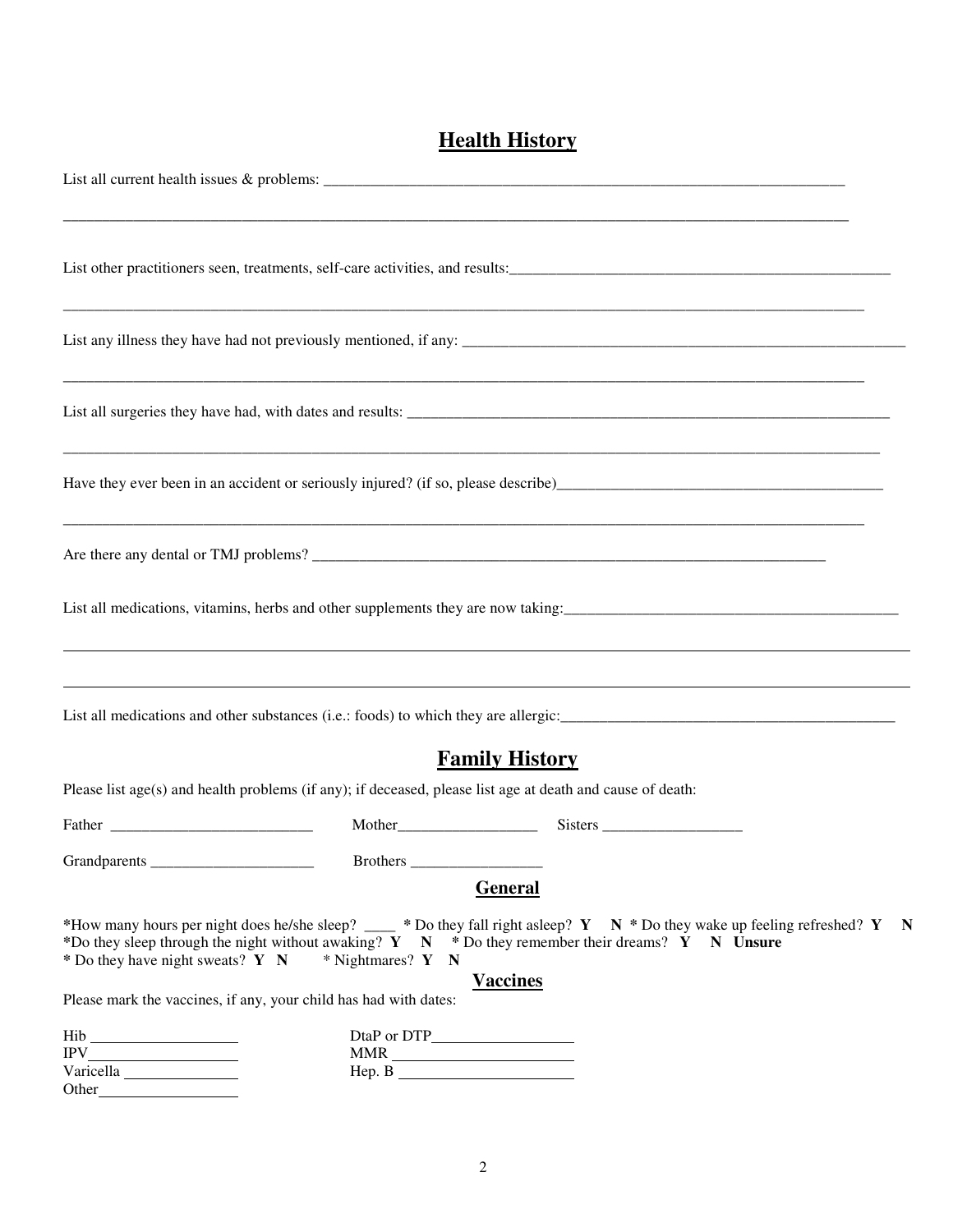## **Health History**

|                                                                                                          |                                    | List other practitioners seen, treatments, self-care activities, and results:<br><u>expressions</u> and results:<br><u>expressions</u> in the practitioners seen, treatments, self-care activities, and results:<br><br><br><br><br><br><br><br>                                        |  |
|----------------------------------------------------------------------------------------------------------|------------------------------------|-----------------------------------------------------------------------------------------------------------------------------------------------------------------------------------------------------------------------------------------------------------------------------------------|--|
|                                                                                                          |                                    |                                                                                                                                                                                                                                                                                         |  |
|                                                                                                          |                                    |                                                                                                                                                                                                                                                                                         |  |
|                                                                                                          |                                    |                                                                                                                                                                                                                                                                                         |  |
|                                                                                                          |                                    |                                                                                                                                                                                                                                                                                         |  |
|                                                                                                          |                                    | List all medications, vitamins, herbs and other supplements they are now taking:<br><u>experience</u> and the supplements they are now taking:                                                                                                                                          |  |
|                                                                                                          |                                    | ,我们也不会有什么。""我们的人,我们也不会有什么?""我们的人,我们也不会有什么?""我们的人,我们也不会有什么?""我们的人,我们也不会有什么?""我们的人                                                                                                                                                                                                        |  |
|                                                                                                          |                                    | <b>Family History</b>                                                                                                                                                                                                                                                                   |  |
|                                                                                                          |                                    | Please list age(s) and health problems (if any); if deceased, please list age at death and cause of death:                                                                                                                                                                              |  |
| $Father \_$                                                                                              |                                    |                                                                                                                                                                                                                                                                                         |  |
|                                                                                                          |                                    | <b>General</b>                                                                                                                                                                                                                                                                          |  |
| * Do they have night sweats? $Y \ N$<br>Please mark the vaccines, if any, your child has had with dates: | $*$ Nightmares? <b>Y</b> N         | *How many hours per night does he/she sleep? ____ * Do they fall right asleep? $Y \times N$ * Do they wake up feeling refreshed? $Y \times N$<br>*Do they sleep through the night without awaking? $Y \times N$ * Do they remember their dreams? $Y \times N$ Unsure<br><b>Vaccines</b> |  |
| Hib                                                                                                      | $MMR \xrightarrow{\qquad \qquad }$ |                                                                                                                                                                                                                                                                                         |  |